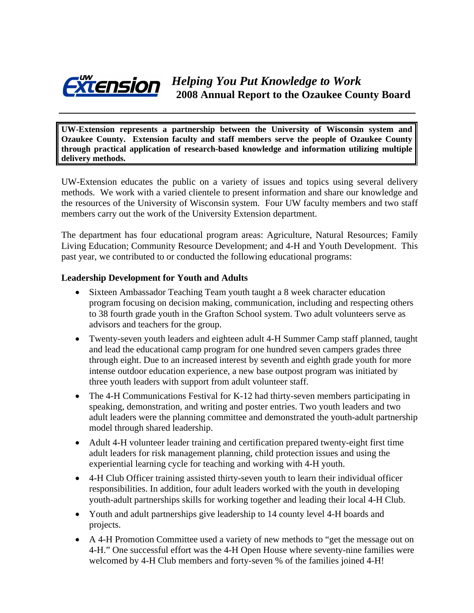

**UW-Extension represents a partnership between the University of Wisconsin system and Ozaukee County. Extension faculty and staff members serve the people of Ozaukee County through practical application of research-based knowledge and information utilizing multiple delivery methods.** 

UW-Extension educates the public on a variety of issues and topics using several delivery methods. We work with a varied clientele to present information and share our knowledge and the resources of the University of Wisconsin system. Four UW faculty members and two staff members carry out the work of the University Extension department.

The department has four educational program areas: Agriculture, Natural Resources; Family Living Education; Community Resource Development; and 4-H and Youth Development. This past year, we contributed to or conducted the following educational programs:

#### **Leadership Development for Youth and Adults**

- Sixteen Ambassador Teaching Team youth taught a 8 week character education program focusing on decision making, communication, including and respecting others to 38 fourth grade youth in the Grafton School system. Two adult volunteers serve as advisors and teachers for the group.
- Twenty-seven youth leaders and eighteen adult 4-H Summer Camp staff planned, taught and lead the educational camp program for one hundred seven campers grades three through eight. Due to an increased interest by seventh and eighth grade youth for more intense outdoor education experience, a new base outpost program was initiated by three youth leaders with support from adult volunteer staff.
- The 4-H Communications Festival for K-12 had thirty-seven members participating in speaking, demonstration, and writing and poster entries. Two youth leaders and two adult leaders were the planning committee and demonstrated the youth-adult partnership model through shared leadership.
- Adult 4-H volunteer leader training and certification prepared twenty-eight first time adult leaders for risk management planning, child protection issues and using the experiential learning cycle for teaching and working with 4-H youth.
- 4-H Club Officer training assisted thirty-seven youth to learn their individual officer responsibilities. In addition, four adult leaders worked with the youth in developing youth-adult partnerships skills for working together and leading their local 4-H Club.
- Youth and adult partnerships give leadership to 14 county level 4-H boards and projects.
- A 4-H Promotion Committee used a variety of new methods to "get the message out on 4-H." One successful effort was the 4-H Open House where seventy-nine families were welcomed by 4-H Club members and forty-seven % of the families joined 4-H!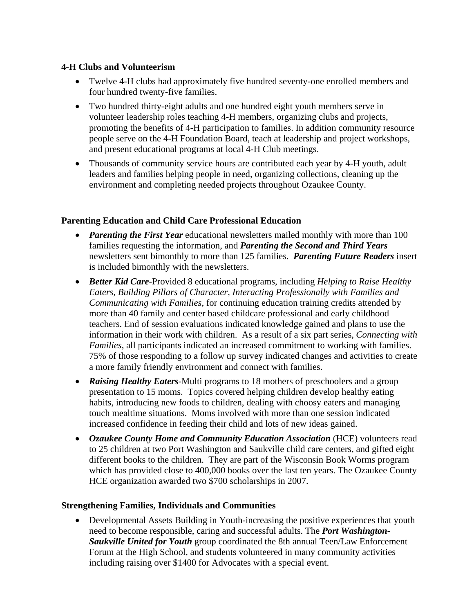#### **4-H Clubs and Volunteerism**

- Twelve 4-H clubs had approximately five hundred seventy-one enrolled members and four hundred twenty-five families.
- Two hundred thirty-eight adults and one hundred eight youth members serve in volunteer leadership roles teaching 4-H members, organizing clubs and projects, promoting the benefits of 4-H participation to families. In addition community resource people serve on the 4-H Foundation Board, teach at leadership and project workshops, and present educational programs at local 4-H Club meetings.
- Thousands of community service hours are contributed each year by 4-H youth, adult leaders and families helping people in need, organizing collections, cleaning up the environment and completing needed projects throughout Ozaukee County.

# **Parenting Education and Child Care Professional Education**

- *Parenting the First Year* educational newsletters mailed monthly with more than 100 families requesting the information, and *Parenting the Second and Third Years* newsletters sent bimonthly to more than 125 families. *Parenting Future Readers* insert is included bimonthly with the newsletters.
- *Better Kid Care*-Provided 8 educational programs, including *Helping to Raise Healthy Eaters, Building Pillars of Character, Interacting Professionally with Families and Communicating with Families*, for continuing education training credits attended by more than 40 family and center based childcare professional and early childhood teachers. End of session evaluations indicated knowledge gained and plans to use the information in their work with children. As a result of a six part series, *Connecting with Families*, all participants indicated an increased commitment to working with families. 75% of those responding to a follow up survey indicated changes and activities to create a more family friendly environment and connect with families.
- *Raising Healthy Eaters*-Multi programs to 18 mothers of preschoolers and a group presentation to 15 moms. Topics covered helping children develop healthy eating habits, introducing new foods to children, dealing with choosy eaters and managing touch mealtime situations. Moms involved with more than one session indicated increased confidence in feeding their child and lots of new ideas gained.
- *Ozaukee County Home and Community Education Association* (HCE) volunteers read to 25 children at two Port Washington and Saukville child care centers, and gifted eight different books to the children. They are part of the Wisconsin Book Worms program which has provided close to 400,000 books over the last ten years. The Ozaukee County HCE organization awarded two \$700 scholarships in 2007.

# **Strengthening Families, Individuals and Communities**

• Developmental Assets Building in Youth-increasing the positive experiences that youth need to become responsible, caring and successful adults. The *Port Washington-Saukville United for Youth* group coordinated the 8th annual Teen/Law Enforcement Forum at the High School, and students volunteered in many community activities including raising over \$1400 for Advocates with a special event.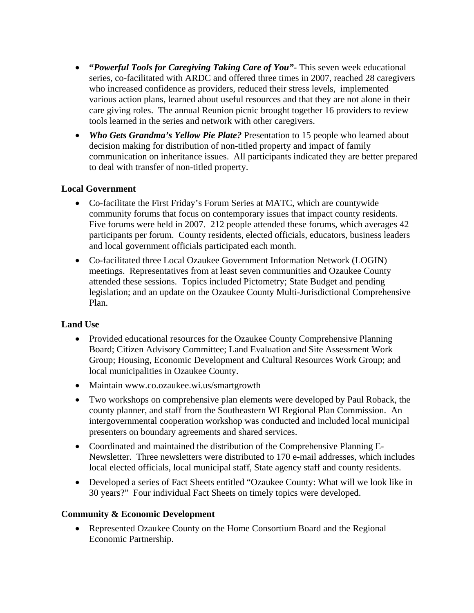- **"***Powerful Tools for Caregiving Taking Care of You"-* This seven week educational series, co-facilitated with ARDC and offered three times in 2007, reached 28 caregivers who increased confidence as providers, reduced their stress levels, implemented various action plans, learned about useful resources and that they are not alone in their care giving roles. The annual Reunion picnic brought together 16 providers to review tools learned in the series and network with other caregivers.
- *Who Gets Grandma's Yellow Pie Plate?* Presentation to 15 people who learned about decision making for distribution of non-titled property and impact of family communication on inheritance issues. All participants indicated they are better prepared to deal with transfer of non-titled property.

#### **Local Government**

- Co-facilitate the First Friday's Forum Series at MATC, which are countywide community forums that focus on contemporary issues that impact county residents. Five forums were held in 2007. 212 people attended these forums, which averages 42 participants per forum. County residents, elected officials, educators, business leaders and local government officials participated each month.
- Co-facilitated three Local Ozaukee Government Information Network (LOGIN) meetings. Representatives from at least seven communities and Ozaukee County attended these sessions. Topics included Pictometry; State Budget and pending legislation; and an update on the Ozaukee County Multi-Jurisdictional Comprehensive Plan.

# **Land Use**

- Provided educational resources for the Ozaukee County Comprehensive Planning Board; Citizen Advisory Committee; Land Evaluation and Site Assessment Work Group; Housing, Economic Development and Cultural Resources Work Group; and local municipalities in Ozaukee County.
- Maintain www.co.ozaukee.wi.us/smartgrowth
- Two workshops on comprehensive plan elements were developed by Paul Roback, the county planner, and staff from the Southeastern WI Regional Plan Commission. An intergovernmental cooperation workshop was conducted and included local municipal presenters on boundary agreements and shared services.
- Coordinated and maintained the distribution of the Comprehensive Planning E-Newsletter. Three newsletters were distributed to 170 e-mail addresses, which includes local elected officials, local municipal staff, State agency staff and county residents.
- Developed a series of Fact Sheets entitled "Ozaukee County: What will we look like in 30 years?" Four individual Fact Sheets on timely topics were developed.

# **Community & Economic Development**

• Represented Ozaukee County on the Home Consortium Board and the Regional Economic Partnership.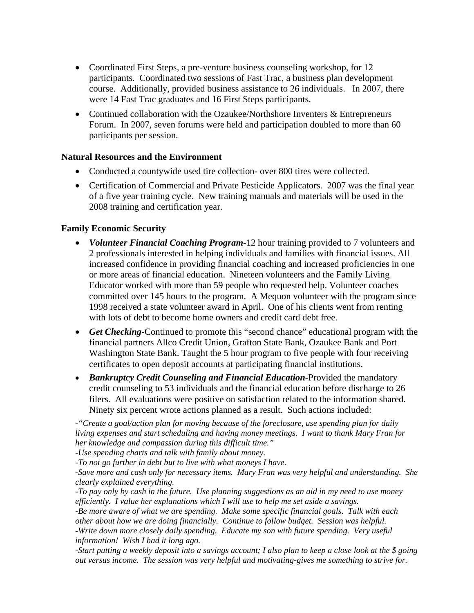- Coordinated First Steps, a pre-venture business counseling workshop, for 12 participants. Coordinated two sessions of Fast Trac, a business plan development course. Additionally, provided business assistance to 26 individuals. In 2007, there were 14 Fast Trac graduates and 16 First Steps participants.
- Continued collaboration with the Ozaukee/Northshore Inventers & Entrepreneurs Forum. In 2007, seven forums were held and participation doubled to more than 60 participants per session.

#### **Natural Resources and the Environment**

- Conducted a countywide used tire collection- over 800 tires were collected.
- Certification of Commercial and Private Pesticide Applicators. 2007 was the final year of a five year training cycle. New training manuals and materials will be used in the 2008 training and certification year.

#### **Family Economic Security**

- *Volunteer Financial Coaching Program*-12 hour training provided to 7 volunteers and 2 professionals interested in helping individuals and families with financial issues. All increased confidence in providing financial coaching and increased proficiencies in one or more areas of financial education. Nineteen volunteers and the Family Living Educator worked with more than 59 people who requested help. Volunteer coaches committed over 145 hours to the program. A Mequon volunteer with the program since 1998 received a state volunteer award in April. One of his clients went from renting with lots of debt to become home owners and credit card debt free.
- *Get Checking*-Continued to promote this "second chance" educational program with the financial partners Allco Credit Union, Grafton State Bank, Ozaukee Bank and Port Washington State Bank. Taught the 5 hour program to five people with four receiving certificates to open deposit accounts at participating financial institutions.
- *Bankruptcy Credit Counseling and Financial Education*-Provided the mandatory credit counseling to 53 individuals and the financial education before discharge to 26 filers. All evaluations were positive on satisfaction related to the information shared. Ninety six percent wrote actions planned as a result. Such actions included:

*-"Create a goal/action plan for moving because of the foreclosure, use spending plan for daily living expenses and start scheduling and having money meetings. I want to thank Mary Fran for her knowledge and compassion during this difficult time."* 

*-Use spending charts and talk with family about money.* 

*-To not go further in debt but to live with what moneys I have.* 

*-Save more and cash only for necessary items. Mary Fran was very helpful and understanding. She clearly explained everything.* 

*-To pay only by cash in the future. Use planning suggestions as an aid in my need to use money efficiently. I value her explanations which I will use to help me set aside a savings.* 

*-Be more aware of what we are spending. Make some specific financial goals. Talk with each other about how we are doing financially. Continue to follow budget. Session was helpful. -Write down more closely daily spending. Educate my son with future spending. Very useful information! Wish I had it long ago.* 

*-Start putting a weekly deposit into a savings account; I also plan to keep a close look at the \$ going out versus income. The session was very helpful and motivating-gives me something to strive for.*